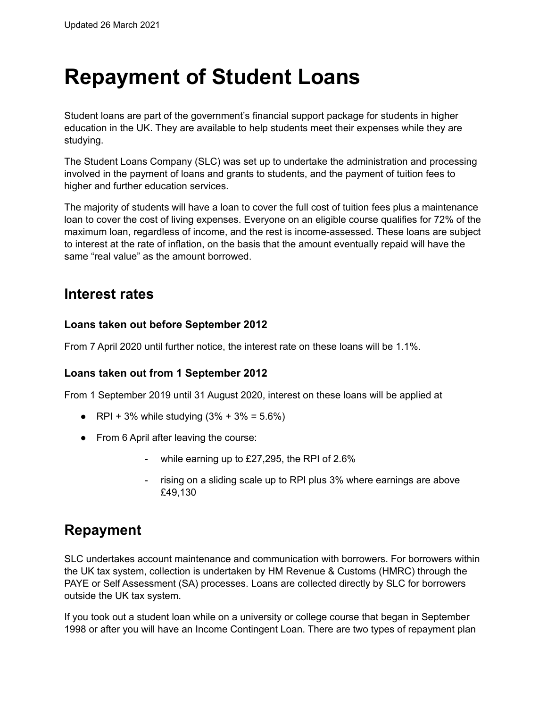# **Repayment of Student Loans**

Student loans are part of the government's financial support package for students in higher education in the UK. They are available to help students meet their expenses while they are studying.

The Student Loans Company (SLC) was set up to undertake the administration and processing involved in the payment of loans and grants to students, and the payment of tuition fees to higher and further education services.

The majority of students will have a loan to cover the full cost of tuition fees plus a maintenance loan to cover the cost of living expenses. Everyone on an eligible course qualifies for 72% of the maximum loan, regardless of income, and the rest is income-assessed. These loans are subject to interest at the rate of inflation, on the basis that the amount eventually repaid will have the same "real value" as the amount borrowed.

### **Interest rates**

#### **Loans taken out before September 2012**

From 7 April 2020 until further notice, the interest rate on these loans will be 1.1%.

#### **Loans taken out from 1 September 2012**

From 1 September 2019 until 31 August 2020, interest on these loans will be applied at

- RPI + 3% while studying  $(3\% + 3\% = 5.6\%)$
- From 6 April after leaving the course:
	- while earning up to  $£27,295$ , the RPI of  $2.6\%$
	- rising on a sliding scale up to RPI plus 3% where earnings are above £49,130

## **Repayment**

SLC undertakes account maintenance and communication with borrowers. For borrowers within the UK tax system, collection is undertaken by HM Revenue & Customs (HMRC) through the PAYE or Self Assessment (SA) processes. Loans are collected directly by SLC for borrowers outside the UK tax system.

If you took out a student loan while on a university or college course that began in September 1998 or after you will have an Income Contingent Loan. There are two types of repayment plan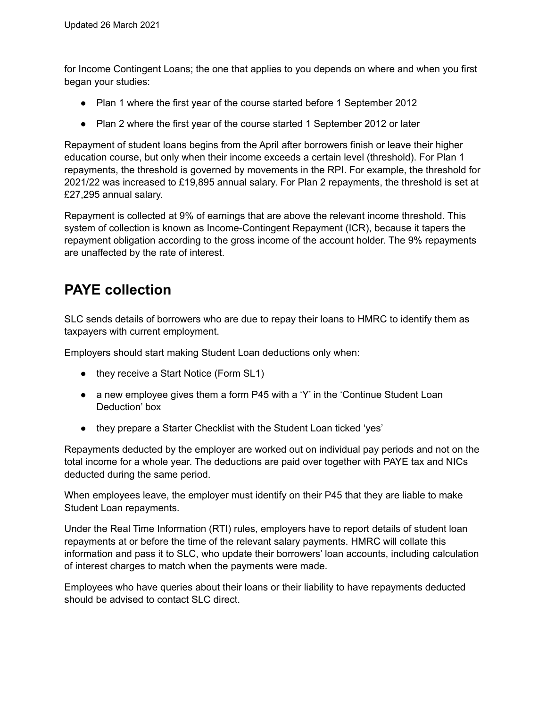for Income Contingent Loans; the one that applies to you depends on where and when you first began your studies:

- Plan 1 where the first year of the course started before 1 September 2012
- Plan 2 where the first year of the course started 1 September 2012 or later

Repayment of student loans begins from the April after borrowers finish or leave their higher education course, but only when their income exceeds a certain level (threshold). For Plan 1 repayments, the threshold is governed by movements in the RPI. For example, the threshold for 2021/22 was increased to £19,895 annual salary. For Plan 2 repayments, the threshold is set at £27,295 annual salary.

Repayment is collected at 9% of earnings that are above the relevant income threshold. This system of collection is known as Income-Contingent Repayment (ICR), because it tapers the repayment obligation according to the gross income of the account holder. The 9% repayments are unaffected by the rate of interest.

# **PAYE collection**

SLC sends details of borrowers who are due to repay their loans to HMRC to identify them as taxpayers with current employment.

Employers should start making Student Loan deductions only when:

- they receive a Start Notice (Form SL1)
- a new employee gives them a form P45 with a 'Y' in the 'Continue Student Loan Deduction' box
- they prepare a Starter Checklist with the Student Loan ticked 'yes'

Repayments deducted by the employer are worked out on individual pay periods and not on the total income for a whole year. The deductions are paid over together with PAYE tax and NICs deducted during the same period.

When employees leave, the employer must identify on their P45 that they are liable to make Student Loan repayments.

Under the Real Time Information (RTI) rules, employers have to report details of student loan repayments at or before the time of the relevant salary payments. HMRC will collate this information and pass it to SLC, who update their borrowers' loan accounts, including calculation of interest charges to match when the payments were made.

Employees who have queries about their loans or their liability to have repayments deducted should be advised to contact SLC direct.